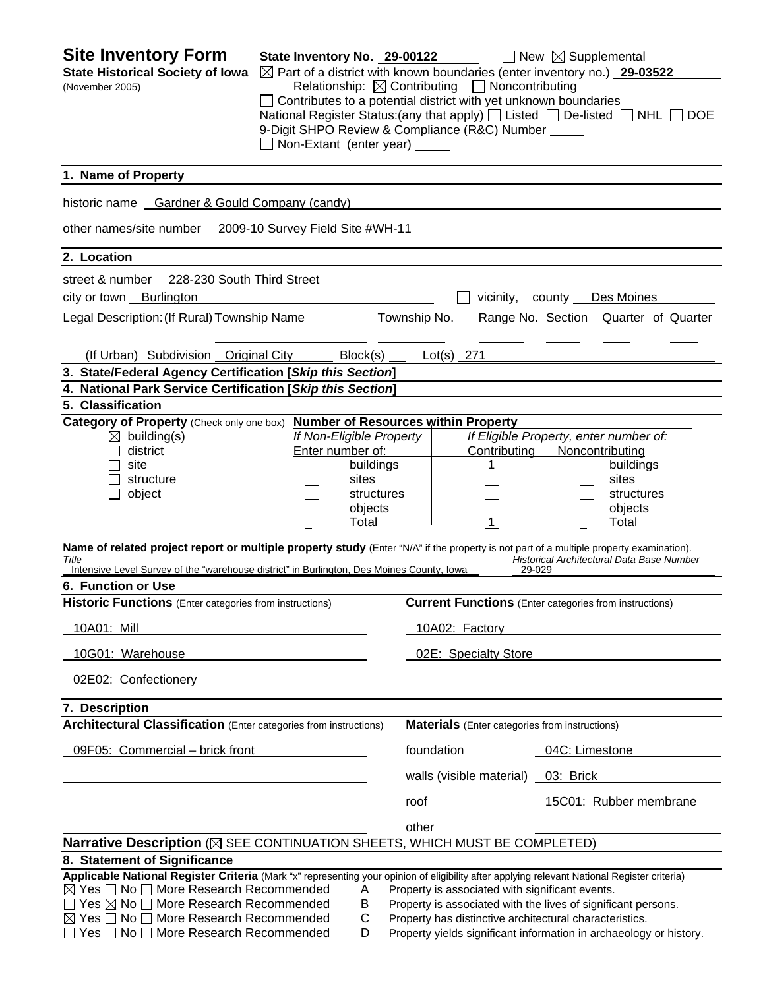| <b>Site Inventory Form</b><br><b>State Historical Society of Iowa</b><br>(November 2005)                                                                                                                                                                            | State Inventory No. 29-00122<br>Non-Extant (enter year) _____ |                          |                      | Relationship: $\boxtimes$ Contributing $\Box$ Noncontributing<br>Contributes to a potential district with yet unknown boundaries<br>9-Digit SHPO Review & Compliance (R&C) Number _____ | $\Box$ New $\boxtimes$ Supplemental<br>$\boxtimes$ Part of a district with known boundaries (enter inventory no.) 29-03522<br>National Register Status: (any that apply) $\Box$ Listed $\Box$ De-listed $\Box$ NHL $\Box$ DOE |
|---------------------------------------------------------------------------------------------------------------------------------------------------------------------------------------------------------------------------------------------------------------------|---------------------------------------------------------------|--------------------------|----------------------|-----------------------------------------------------------------------------------------------------------------------------------------------------------------------------------------|-------------------------------------------------------------------------------------------------------------------------------------------------------------------------------------------------------------------------------|
| 1. Name of Property                                                                                                                                                                                                                                                 |                                                               |                          |                      |                                                                                                                                                                                         |                                                                                                                                                                                                                               |
| historic name Gardner & Gould Company (candy)                                                                                                                                                                                                                       |                                                               |                          |                      |                                                                                                                                                                                         |                                                                                                                                                                                                                               |
| other names/site number 2009-10 Survey Field Site #WH-11                                                                                                                                                                                                            |                                                               |                          |                      |                                                                                                                                                                                         |                                                                                                                                                                                                                               |
| 2. Location                                                                                                                                                                                                                                                         |                                                               |                          |                      |                                                                                                                                                                                         |                                                                                                                                                                                                                               |
| street & number 228-230 South Third Street                                                                                                                                                                                                                          |                                                               |                          |                      |                                                                                                                                                                                         |                                                                                                                                                                                                                               |
| city or town Burlington                                                                                                                                                                                                                                             |                                                               |                          |                      |                                                                                                                                                                                         | vicinity, county Des Moines                                                                                                                                                                                                   |
| Legal Description: (If Rural) Township Name                                                                                                                                                                                                                         |                                                               | Township No.             |                      |                                                                                                                                                                                         | Range No. Section Quarter of Quarter                                                                                                                                                                                          |
|                                                                                                                                                                                                                                                                     |                                                               |                          |                      |                                                                                                                                                                                         |                                                                                                                                                                                                                               |
| (If Urban) Subdivision Original City                                                                                                                                                                                                                                |                                                               | Block(s)                 |                      | $Lot(s)$ 271                                                                                                                                                                            |                                                                                                                                                                                                                               |
| 3. State/Federal Agency Certification [Skip this Section]                                                                                                                                                                                                           |                                                               |                          |                      |                                                                                                                                                                                         |                                                                                                                                                                                                                               |
| 4. National Park Service Certification [Skip this Section]<br>5. Classification                                                                                                                                                                                     |                                                               |                          |                      |                                                                                                                                                                                         |                                                                                                                                                                                                                               |
|                                                                                                                                                                                                                                                                     |                                                               |                          |                      |                                                                                                                                                                                         |                                                                                                                                                                                                                               |
| Category of Property (Check only one box) Number of Resources within Property<br>$\boxtimes$ building(s)                                                                                                                                                            |                                                               | If Non-Eligible Property |                      |                                                                                                                                                                                         | If Eligible Property, enter number of:                                                                                                                                                                                        |
| district                                                                                                                                                                                                                                                            | Enter number of:                                              |                          |                      | Contributing                                                                                                                                                                            | Noncontributing                                                                                                                                                                                                               |
| site                                                                                                                                                                                                                                                                |                                                               | buildings                |                      | <u>_1</u>                                                                                                                                                                               | buildings                                                                                                                                                                                                                     |
| structure                                                                                                                                                                                                                                                           |                                                               | sites                    |                      |                                                                                                                                                                                         | sites                                                                                                                                                                                                                         |
| object                                                                                                                                                                                                                                                              |                                                               | structures               |                      |                                                                                                                                                                                         | structures                                                                                                                                                                                                                    |
|                                                                                                                                                                                                                                                                     |                                                               | objects                  |                      |                                                                                                                                                                                         | objects                                                                                                                                                                                                                       |
|                                                                                                                                                                                                                                                                     |                                                               | Total                    |                      | $\overline{1}$                                                                                                                                                                          | Total                                                                                                                                                                                                                         |
| Name of related project report or multiple property study (Enter "N/A" if the property is not part of a multiple property examination).<br>Title<br>Intensive Level Survey of the "warehouse district" in Burlington, Des Moines County, Iowa<br>6. Function or Use |                                                               |                          |                      | 29-029                                                                                                                                                                                  | Historical Architectural Data Base Number                                                                                                                                                                                     |
| Historic Functions (Enter categories from instructions)                                                                                                                                                                                                             |                                                               |                          |                      |                                                                                                                                                                                         | <b>Current Functions</b> (Enter categories from instructions)                                                                                                                                                                 |
| 10A01: Mill                                                                                                                                                                                                                                                         |                                                               |                          | 10A02: Factory       |                                                                                                                                                                                         |                                                                                                                                                                                                                               |
| 10G01: Warehouse                                                                                                                                                                                                                                                    |                                                               |                          | 02E: Specialty Store |                                                                                                                                                                                         |                                                                                                                                                                                                                               |
| 02E02: Confectionery                                                                                                                                                                                                                                                |                                                               |                          |                      |                                                                                                                                                                                         |                                                                                                                                                                                                                               |
| 7. Description                                                                                                                                                                                                                                                      |                                                               |                          |                      |                                                                                                                                                                                         |                                                                                                                                                                                                                               |
| <b>Architectural Classification</b> (Enter categories from instructions)                                                                                                                                                                                            |                                                               |                          |                      | <b>Materials</b> (Enter categories from instructions)                                                                                                                                   |                                                                                                                                                                                                                               |
| 09F05: Commercial - brick front                                                                                                                                                                                                                                     |                                                               |                          |                      | foundation                                                                                                                                                                              | 04C: Limestone                                                                                                                                                                                                                |
|                                                                                                                                                                                                                                                                     |                                                               |                          |                      | walls (visible material) _03: Brick                                                                                                                                                     |                                                                                                                                                                                                                               |
|                                                                                                                                                                                                                                                                     |                                                               |                          | roof                 |                                                                                                                                                                                         | 15C01: Rubber membrane                                                                                                                                                                                                        |
|                                                                                                                                                                                                                                                                     |                                                               |                          | other                |                                                                                                                                                                                         |                                                                                                                                                                                                                               |
| Narrative Description (X SEE CONTINUATION SHEETS, WHICH MUST BE COMPLETED)                                                                                                                                                                                          |                                                               |                          |                      |                                                                                                                                                                                         |                                                                                                                                                                                                                               |
| 8. Statement of Significance                                                                                                                                                                                                                                        |                                                               |                          |                      |                                                                                                                                                                                         |                                                                                                                                                                                                                               |
| Applicable National Register Criteria (Mark "x" representing your opinion of eligibility after applying relevant National Register criteria)                                                                                                                        |                                                               |                          |                      |                                                                                                                                                                                         |                                                                                                                                                                                                                               |
| $\boxtimes$ Yes $\Box$ No $\Box$ More Research Recommended                                                                                                                                                                                                          |                                                               | Α                        |                      | Property is associated with significant events.                                                                                                                                         |                                                                                                                                                                                                                               |
| $\Box$ Yes $\boxtimes$ No $\Box$ More Research Recommended                                                                                                                                                                                                          |                                                               | В                        |                      |                                                                                                                                                                                         | Property is associated with the lives of significant persons.                                                                                                                                                                 |
| $\boxtimes$ Yes $\Box$ No $\Box$ More Research Recommended                                                                                                                                                                                                          |                                                               | C                        |                      |                                                                                                                                                                                         | Property has distinctive architectural characteristics.                                                                                                                                                                       |
| □ Yes □ No □ More Research Recommended                                                                                                                                                                                                                              |                                                               | D                        |                      |                                                                                                                                                                                         | Property yields significant information in archaeology or history.                                                                                                                                                            |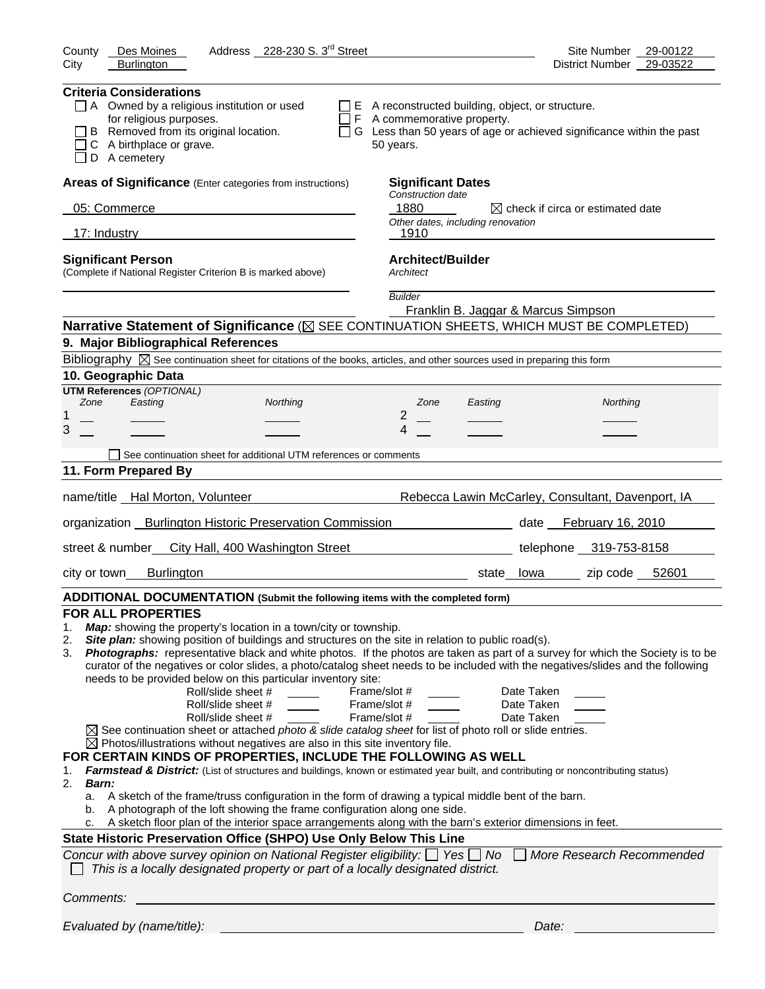| Address 228-230 S. 3 <sup>rd</sup> Street<br>County<br>Des Moines                                                                                                                                                                                                                                                                                                                                                                                                                                                                                                                                                                                                                                                                                                                                                                                                                                                                                                                                                                                                                                                                                                                                                                                                                                                                                                                                                                                                                                                                                                                                                                                                                                                                                | Site Number<br>29-00122                           |
|--------------------------------------------------------------------------------------------------------------------------------------------------------------------------------------------------------------------------------------------------------------------------------------------------------------------------------------------------------------------------------------------------------------------------------------------------------------------------------------------------------------------------------------------------------------------------------------------------------------------------------------------------------------------------------------------------------------------------------------------------------------------------------------------------------------------------------------------------------------------------------------------------------------------------------------------------------------------------------------------------------------------------------------------------------------------------------------------------------------------------------------------------------------------------------------------------------------------------------------------------------------------------------------------------------------------------------------------------------------------------------------------------------------------------------------------------------------------------------------------------------------------------------------------------------------------------------------------------------------------------------------------------------------------------------------------------------------------------------------------------|---------------------------------------------------|
| <b>Burlington</b><br>City                                                                                                                                                                                                                                                                                                                                                                                                                                                                                                                                                                                                                                                                                                                                                                                                                                                                                                                                                                                                                                                                                                                                                                                                                                                                                                                                                                                                                                                                                                                                                                                                                                                                                                                        | 29-03522<br><b>District Number</b>                |
| <b>Criteria Considerations</b><br>$\Box$ A Owned by a religious institution or used<br>$\Box$ E A reconstructed building, object, or structure.<br>for religious purposes.<br>$\Box$ F A commemorative property.<br>B Removed from its original location.<br>$\Box$ G Less than 50 years of age or achieved significance within the past<br>C A birthplace or grave.<br>50 years.<br>D A cemetery                                                                                                                                                                                                                                                                                                                                                                                                                                                                                                                                                                                                                                                                                                                                                                                                                                                                                                                                                                                                                                                                                                                                                                                                                                                                                                                                                |                                                   |
| Areas of Significance (Enter categories from instructions)<br><b>Significant Dates</b>                                                                                                                                                                                                                                                                                                                                                                                                                                                                                                                                                                                                                                                                                                                                                                                                                                                                                                                                                                                                                                                                                                                                                                                                                                                                                                                                                                                                                                                                                                                                                                                                                                                           |                                                   |
| Construction date<br>05: Commerce<br>1880                                                                                                                                                                                                                                                                                                                                                                                                                                                                                                                                                                                                                                                                                                                                                                                                                                                                                                                                                                                                                                                                                                                                                                                                                                                                                                                                                                                                                                                                                                                                                                                                                                                                                                        | $\boxtimes$ check if circa or estimated date      |
| Other dates, including renovation                                                                                                                                                                                                                                                                                                                                                                                                                                                                                                                                                                                                                                                                                                                                                                                                                                                                                                                                                                                                                                                                                                                                                                                                                                                                                                                                                                                                                                                                                                                                                                                                                                                                                                                |                                                   |
| 17: Industry<br>1910                                                                                                                                                                                                                                                                                                                                                                                                                                                                                                                                                                                                                                                                                                                                                                                                                                                                                                                                                                                                                                                                                                                                                                                                                                                                                                                                                                                                                                                                                                                                                                                                                                                                                                                             |                                                   |
| <b>Architect/Builder</b><br><b>Significant Person</b><br>(Complete if National Register Criterion B is marked above)<br>Architect                                                                                                                                                                                                                                                                                                                                                                                                                                                                                                                                                                                                                                                                                                                                                                                                                                                                                                                                                                                                                                                                                                                                                                                                                                                                                                                                                                                                                                                                                                                                                                                                                |                                                   |
| <b>Builder</b><br>Franklin B. Jaggar & Marcus Simpson                                                                                                                                                                                                                                                                                                                                                                                                                                                                                                                                                                                                                                                                                                                                                                                                                                                                                                                                                                                                                                                                                                                                                                                                                                                                                                                                                                                                                                                                                                                                                                                                                                                                                            |                                                   |
| Narrative Statement of Significance ( $\boxtimes$ SEE CONTINUATION SHEETS, WHICH MUST BE COMPLETED)                                                                                                                                                                                                                                                                                                                                                                                                                                                                                                                                                                                                                                                                                                                                                                                                                                                                                                                                                                                                                                                                                                                                                                                                                                                                                                                                                                                                                                                                                                                                                                                                                                              |                                                   |
| 9. Major Bibliographical References                                                                                                                                                                                                                                                                                                                                                                                                                                                                                                                                                                                                                                                                                                                                                                                                                                                                                                                                                                                                                                                                                                                                                                                                                                                                                                                                                                                                                                                                                                                                                                                                                                                                                                              |                                                   |
| Bibliography $\boxtimes$ See continuation sheet for citations of the books, articles, and other sources used in preparing this form                                                                                                                                                                                                                                                                                                                                                                                                                                                                                                                                                                                                                                                                                                                                                                                                                                                                                                                                                                                                                                                                                                                                                                                                                                                                                                                                                                                                                                                                                                                                                                                                              |                                                   |
| 10. Geographic Data<br><b>UTM References (OPTIONAL)</b>                                                                                                                                                                                                                                                                                                                                                                                                                                                                                                                                                                                                                                                                                                                                                                                                                                                                                                                                                                                                                                                                                                                                                                                                                                                                                                                                                                                                                                                                                                                                                                                                                                                                                          |                                                   |
| Zone<br>Easting<br>Northing<br>Zone<br>Easting                                                                                                                                                                                                                                                                                                                                                                                                                                                                                                                                                                                                                                                                                                                                                                                                                                                                                                                                                                                                                                                                                                                                                                                                                                                                                                                                                                                                                                                                                                                                                                                                                                                                                                   | Northing                                          |
| 2<br>1<br>3<br>4                                                                                                                                                                                                                                                                                                                                                                                                                                                                                                                                                                                                                                                                                                                                                                                                                                                                                                                                                                                                                                                                                                                                                                                                                                                                                                                                                                                                                                                                                                                                                                                                                                                                                                                                 |                                                   |
|                                                                                                                                                                                                                                                                                                                                                                                                                                                                                                                                                                                                                                                                                                                                                                                                                                                                                                                                                                                                                                                                                                                                                                                                                                                                                                                                                                                                                                                                                                                                                                                                                                                                                                                                                  |                                                   |
| See continuation sheet for additional UTM references or comments<br>11. Form Prepared By                                                                                                                                                                                                                                                                                                                                                                                                                                                                                                                                                                                                                                                                                                                                                                                                                                                                                                                                                                                                                                                                                                                                                                                                                                                                                                                                                                                                                                                                                                                                                                                                                                                         |                                                   |
|                                                                                                                                                                                                                                                                                                                                                                                                                                                                                                                                                                                                                                                                                                                                                                                                                                                                                                                                                                                                                                                                                                                                                                                                                                                                                                                                                                                                                                                                                                                                                                                                                                                                                                                                                  |                                                   |
| name/title Hal Morton, Volunteer                                                                                                                                                                                                                                                                                                                                                                                                                                                                                                                                                                                                                                                                                                                                                                                                                                                                                                                                                                                                                                                                                                                                                                                                                                                                                                                                                                                                                                                                                                                                                                                                                                                                                                                 | Rebecca Lawin McCarley, Consultant, Davenport, IA |
| organization Burlington Historic Preservation Commission                                                                                                                                                                                                                                                                                                                                                                                                                                                                                                                                                                                                                                                                                                                                                                                                                                                                                                                                                                                                                                                                                                                                                                                                                                                                                                                                                                                                                                                                                                                                                                                                                                                                                         | date February 16, 2010                            |
| street & number<br>City Hall, 400 Washington Street                                                                                                                                                                                                                                                                                                                                                                                                                                                                                                                                                                                                                                                                                                                                                                                                                                                                                                                                                                                                                                                                                                                                                                                                                                                                                                                                                                                                                                                                                                                                                                                                                                                                                              | telephone 319-753-8158                            |
| <b>Burlington</b><br>city or town<br>state lowa                                                                                                                                                                                                                                                                                                                                                                                                                                                                                                                                                                                                                                                                                                                                                                                                                                                                                                                                                                                                                                                                                                                                                                                                                                                                                                                                                                                                                                                                                                                                                                                                                                                                                                  | zip code 52601                                    |
| ADDITIONAL DOCUMENTATION (Submit the following items with the completed form)                                                                                                                                                                                                                                                                                                                                                                                                                                                                                                                                                                                                                                                                                                                                                                                                                                                                                                                                                                                                                                                                                                                                                                                                                                                                                                                                                                                                                                                                                                                                                                                                                                                                    |                                                   |
| <b>FOR ALL PROPERTIES</b><br>Map: showing the property's location in a town/city or township.<br>1.<br>Site plan: showing position of buildings and structures on the site in relation to public road(s).<br>2.<br>Photographs: representative black and white photos. If the photos are taken as part of a survey for which the Society is to be<br>3.<br>curator of the negatives or color slides, a photo/catalog sheet needs to be included with the negatives/slides and the following<br>needs to be provided below on this particular inventory site:<br>Roll/slide sheet #<br>Date Taken<br>Frame/slot #<br>Roll/slide sheet #<br>Frame/slot #<br>Date Taken<br>Roll/slide sheet #<br>Frame/slot #<br>Date Taken<br>$\boxtimes$ See continuation sheet or attached photo & slide catalog sheet for list of photo roll or slide entries.<br>$\boxtimes$ Photos/illustrations without negatives are also in this site inventory file.<br>FOR CERTAIN KINDS OF PROPERTIES, INCLUDE THE FOLLOWING AS WELL<br>Farmstead & District: (List of structures and buildings, known or estimated year built, and contributing or noncontributing status)<br>1.<br>2.<br>Barn:<br>A sketch of the frame/truss configuration in the form of drawing a typical middle bent of the barn.<br>a.<br>A photograph of the loft showing the frame configuration along one side.<br>b.<br>A sketch floor plan of the interior space arrangements along with the barn's exterior dimensions in feet.<br>State Historic Preservation Office (SHPO) Use Only Below This Line<br>Concur with above survey opinion on National Register eligibility: $\Box$ Yes $\Box$ No $\Box$<br>This is a locally designated property or part of a locally designated district. | More Research Recommended                         |
| Comments:                                                                                                                                                                                                                                                                                                                                                                                                                                                                                                                                                                                                                                                                                                                                                                                                                                                                                                                                                                                                                                                                                                                                                                                                                                                                                                                                                                                                                                                                                                                                                                                                                                                                                                                                        |                                                   |
| Evaluated by (name/title):                                                                                                                                                                                                                                                                                                                                                                                                                                                                                                                                                                                                                                                                                                                                                                                                                                                                                                                                                                                                                                                                                                                                                                                                                                                                                                                                                                                                                                                                                                                                                                                                                                                                                                                       | Date:                                             |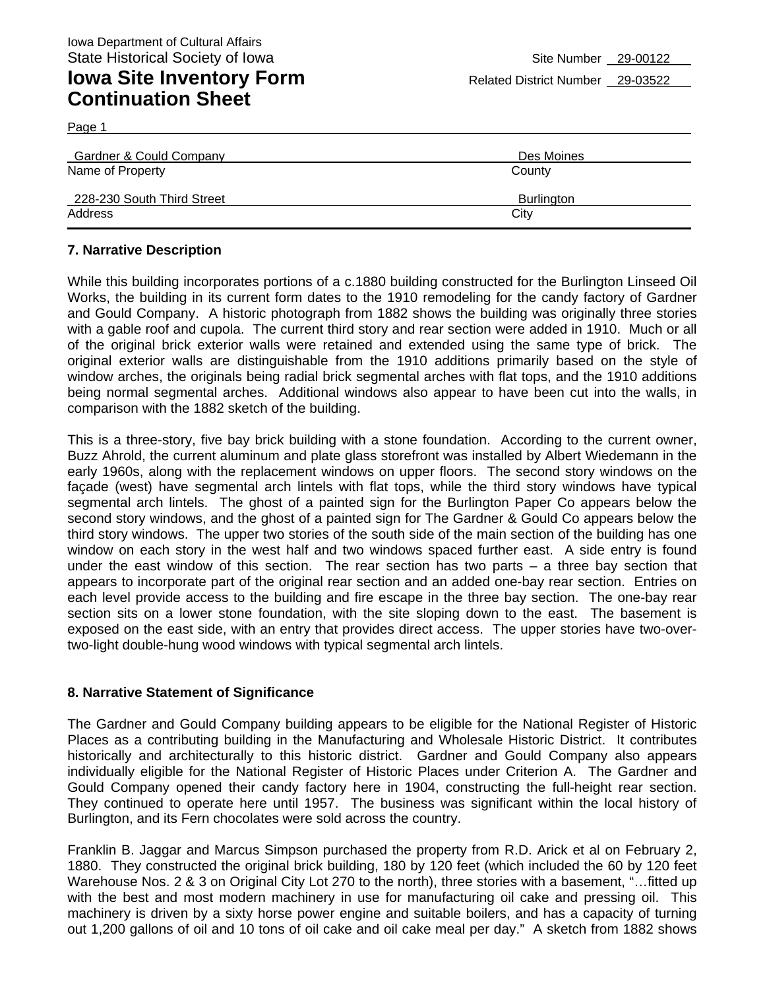| Gardner & Could Company    | Des Moines |
|----------------------------|------------|
| Name of Property           | County     |
| 228-230 South Third Street | Burlington |
| Address                    | City       |

#### **7. Narrative Description**

While this building incorporates portions of a c.1880 building constructed for the Burlington Linseed Oil Works, the building in its current form dates to the 1910 remodeling for the candy factory of Gardner and Gould Company. A historic photograph from 1882 shows the building was originally three stories with a gable roof and cupola. The current third story and rear section were added in 1910. Much or all of the original brick exterior walls were retained and extended using the same type of brick. The original exterior walls are distinguishable from the 1910 additions primarily based on the style of window arches, the originals being radial brick segmental arches with flat tops, and the 1910 additions being normal segmental arches. Additional windows also appear to have been cut into the walls, in comparison with the 1882 sketch of the building.

This is a three-story, five bay brick building with a stone foundation. According to the current owner, Buzz Ahrold, the current aluminum and plate glass storefront was installed by Albert Wiedemann in the early 1960s, along with the replacement windows on upper floors. The second story windows on the façade (west) have segmental arch lintels with flat tops, while the third story windows have typical segmental arch lintels. The ghost of a painted sign for the Burlington Paper Co appears below the second story windows, and the ghost of a painted sign for The Gardner & Gould Co appears below the third story windows. The upper two stories of the south side of the main section of the building has one window on each story in the west half and two windows spaced further east. A side entry is found under the east window of this section. The rear section has two parts – a three bay section that appears to incorporate part of the original rear section and an added one-bay rear section. Entries on each level provide access to the building and fire escape in the three bay section. The one-bay rear section sits on a lower stone foundation, with the site sloping down to the east. The basement is exposed on the east side, with an entry that provides direct access. The upper stories have two-overtwo-light double-hung wood windows with typical segmental arch lintels.

#### **8. Narrative Statement of Significance**

The Gardner and Gould Company building appears to be eligible for the National Register of Historic Places as a contributing building in the Manufacturing and Wholesale Historic District. It contributes historically and architecturally to this historic district. Gardner and Gould Company also appears individually eligible for the National Register of Historic Places under Criterion A. The Gardner and Gould Company opened their candy factory here in 1904, constructing the full-height rear section. They continued to operate here until 1957. The business was significant within the local history of Burlington, and its Fern chocolates were sold across the country.

Franklin B. Jaggar and Marcus Simpson purchased the property from R.D. Arick et al on February 2, 1880. They constructed the original brick building, 180 by 120 feet (which included the 60 by 120 feet Warehouse Nos. 2 & 3 on Original City Lot 270 to the north), three stories with a basement, "…fitted up with the best and most modern machinery in use for manufacturing oil cake and pressing oil. This machinery is driven by a sixty horse power engine and suitable boilers, and has a capacity of turning out 1,200 gallons of oil and 10 tons of oil cake and oil cake meal per day." A sketch from 1882 shows

Page 1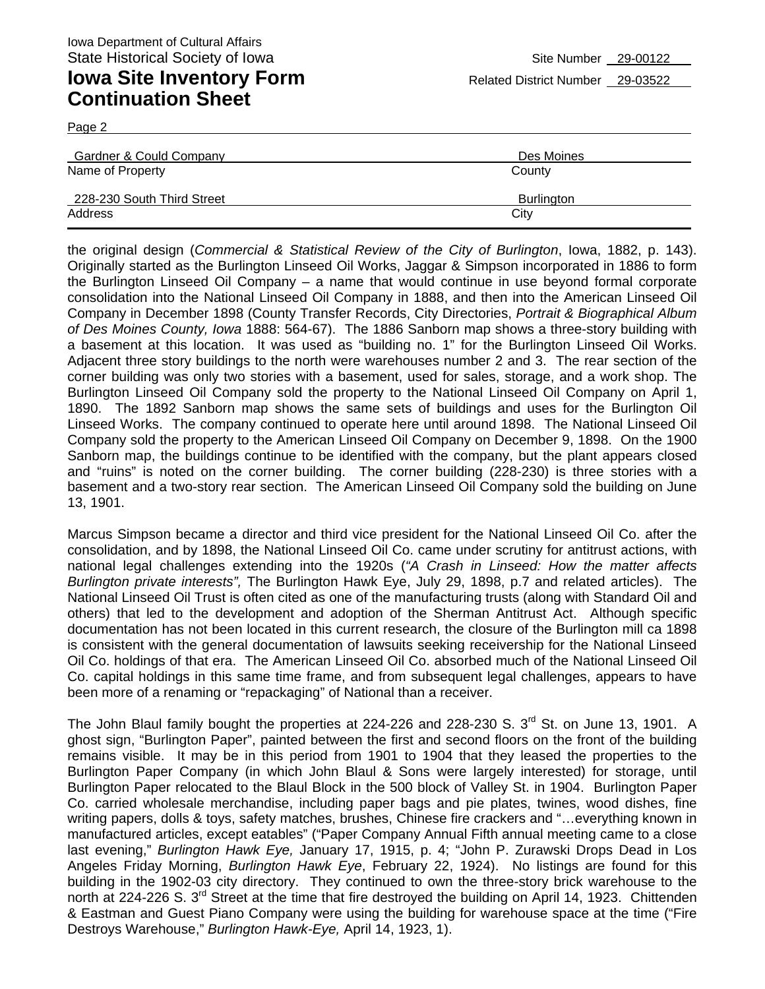Page 2

| <b>Gardner &amp; Could Company</b> | Des Moines        |
|------------------------------------|-------------------|
| Name of Property                   | County            |
| 228-230 South Third Street         | <b>Burlington</b> |
| Address                            | City              |

the original design (*Commercial & Statistical Review of the City of Burlington*, Iowa, 1882, p. 143). Originally started as the Burlington Linseed Oil Works, Jaggar & Simpson incorporated in 1886 to form the Burlington Linseed Oil Company – a name that would continue in use beyond formal corporate consolidation into the National Linseed Oil Company in 1888, and then into the American Linseed Oil Company in December 1898 (County Transfer Records, City Directories, *Portrait & Biographical Album of Des Moines County, Iowa* 1888: 564-67). The 1886 Sanborn map shows a three-story building with a basement at this location. It was used as "building no. 1" for the Burlington Linseed Oil Works. Adjacent three story buildings to the north were warehouses number 2 and 3. The rear section of the corner building was only two stories with a basement, used for sales, storage, and a work shop. The Burlington Linseed Oil Company sold the property to the National Linseed Oil Company on April 1, 1890. The 1892 Sanborn map shows the same sets of buildings and uses for the Burlington Oil Linseed Works. The company continued to operate here until around 1898. The National Linseed Oil Company sold the property to the American Linseed Oil Company on December 9, 1898. On the 1900 Sanborn map, the buildings continue to be identified with the company, but the plant appears closed and "ruins" is noted on the corner building. The corner building (228-230) is three stories with a basement and a two-story rear section. The American Linseed Oil Company sold the building on June 13, 1901.

Marcus Simpson became a director and third vice president for the National Linseed Oil Co. after the consolidation, and by 1898, the National Linseed Oil Co. came under scrutiny for antitrust actions, with national legal challenges extending into the 1920s (*"A Crash in Linseed: How the matter affects Burlington private interests",* The Burlington Hawk Eye, July 29, 1898, p.7 and related articles). The National Linseed Oil Trust is often cited as one of the manufacturing trusts (along with Standard Oil and others) that led to the development and adoption of the Sherman Antitrust Act. Although specific documentation has not been located in this current research, the closure of the Burlington mill ca 1898 is consistent with the general documentation of lawsuits seeking receivership for the National Linseed Oil Co. holdings of that era. The American Linseed Oil Co. absorbed much of the National Linseed Oil Co. capital holdings in this same time frame, and from subsequent legal challenges, appears to have been more of a renaming or "repackaging" of National than a receiver.

The John Blaul family bought the properties at 224-226 and 228-230 S. 3<sup>rd</sup> St. on June 13, 1901. A ghost sign, "Burlington Paper", painted between the first and second floors on the front of the building remains visible. It may be in this period from 1901 to 1904 that they leased the properties to the Burlington Paper Company (in which John Blaul & Sons were largely interested) for storage, until Burlington Paper relocated to the Blaul Block in the 500 block of Valley St. in 1904. Burlington Paper Co. carried wholesale merchandise, including paper bags and pie plates, twines, wood dishes, fine writing papers, dolls & toys, safety matches, brushes, Chinese fire crackers and "…everything known in manufactured articles, except eatables" ("Paper Company Annual Fifth annual meeting came to a close last evening," *Burlington Hawk Eye,* January 17, 1915, p. 4; "John P. Zurawski Drops Dead in Los Angeles Friday Morning, *Burlington Hawk Eye*, February 22, 1924). No listings are found for this building in the 1902-03 city directory. They continued to own the three-story brick warehouse to the north at 224-226 S. 3<sup>rd</sup> Street at the time that fire destroyed the building on April 14, 1923. Chittenden & Eastman and Guest Piano Company were using the building for warehouse space at the time ("Fire Destroys Warehouse," *Burlington Hawk-Eye,* April 14, 1923, 1).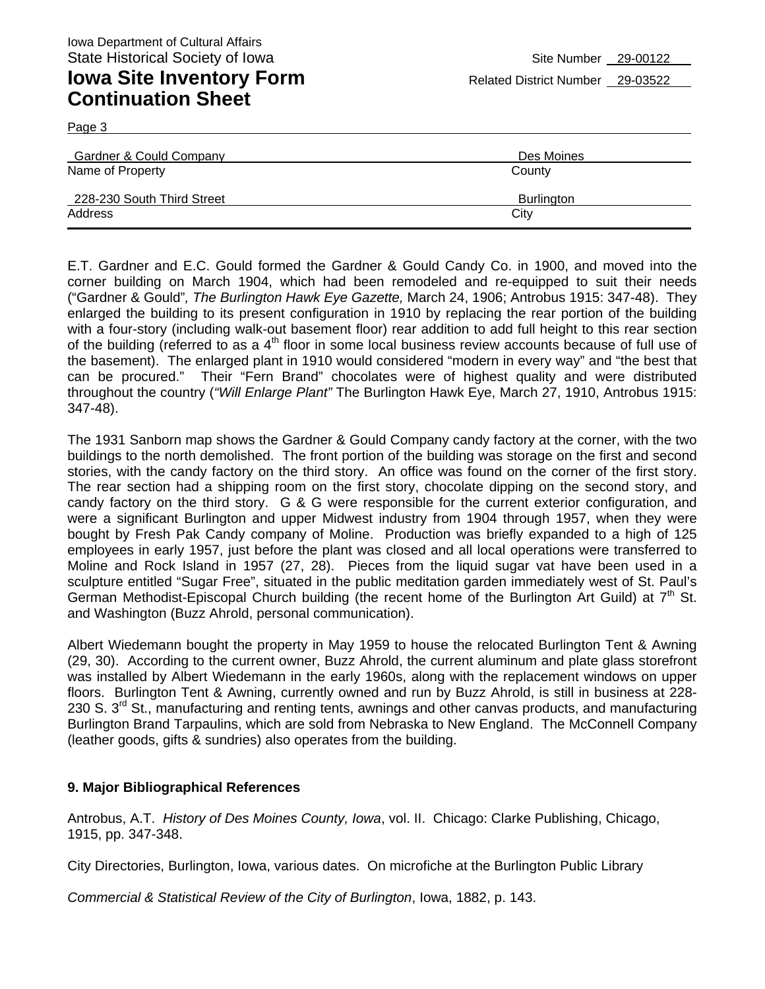Page 3

| Gardner & Could Company<br>Name of Property | Des Moines<br>County |
|---------------------------------------------|----------------------|
| 228-230 South Third Street                  | <b>Burlington</b>    |
| Address                                     | City                 |

E.T. Gardner and E.C. Gould formed the Gardner & Gould Candy Co. in 1900, and moved into the corner building on March 1904, which had been remodeled and re-equipped to suit their needs ("Gardner & Gould"*, The Burlington Hawk Eye Gazette,* March 24, 1906; Antrobus 1915: 347-48). They enlarged the building to its present configuration in 1910 by replacing the rear portion of the building with a four-story (including walk-out basement floor) rear addition to add full height to this rear section of the building (referred to as a 4<sup>th</sup> floor in some local business review accounts because of full use of the basement). The enlarged plant in 1910 would considered "modern in every way" and "the best that can be procured." Their "Fern Brand" chocolates were of highest quality and were distributed throughout the country (*"Will Enlarge Plant"* The Burlington Hawk Eye, March 27, 1910, Antrobus 1915: 347-48).

The 1931 Sanborn map shows the Gardner & Gould Company candy factory at the corner, with the two buildings to the north demolished. The front portion of the building was storage on the first and second stories, with the candy factory on the third story. An office was found on the corner of the first story. The rear section had a shipping room on the first story, chocolate dipping on the second story, and candy factory on the third story. G & G were responsible for the current exterior configuration, and were a significant Burlington and upper Midwest industry from 1904 through 1957, when they were bought by Fresh Pak Candy company of Moline. Production was briefly expanded to a high of 125 employees in early 1957, just before the plant was closed and all local operations were transferred to Moline and Rock Island in 1957 (27, 28). Pieces from the liquid sugar vat have been used in a sculpture entitled "Sugar Free", situated in the public meditation garden immediately west of St. Paul's German Methodist-Episcopal Church building (the recent home of the Burlington Art Guild) at  $7<sup>th</sup>$  St. and Washington (Buzz Ahrold, personal communication).

Albert Wiedemann bought the property in May 1959 to house the relocated Burlington Tent & Awning (29, 30). According to the current owner, Buzz Ahrold, the current aluminum and plate glass storefront was installed by Albert Wiedemann in the early 1960s, along with the replacement windows on upper floors. Burlington Tent & Awning, currently owned and run by Buzz Ahrold, is still in business at 228- 230 S. 3<sup>rd</sup> St., manufacturing and renting tents, awnings and other canvas products, and manufacturing Burlington Brand Tarpaulins, which are sold from Nebraska to New England. The McConnell Company (leather goods, gifts & sundries) also operates from the building.

#### **9. Major Bibliographical References**

Antrobus, A.T. *History of Des Moines County, Iowa*, vol. II. Chicago: Clarke Publishing, Chicago, 1915, pp. 347-348.

City Directories, Burlington, Iowa, various dates. On microfiche at the Burlington Public Library

*Commercial & Statistical Review of the City of Burlington*, Iowa, 1882, p. 143.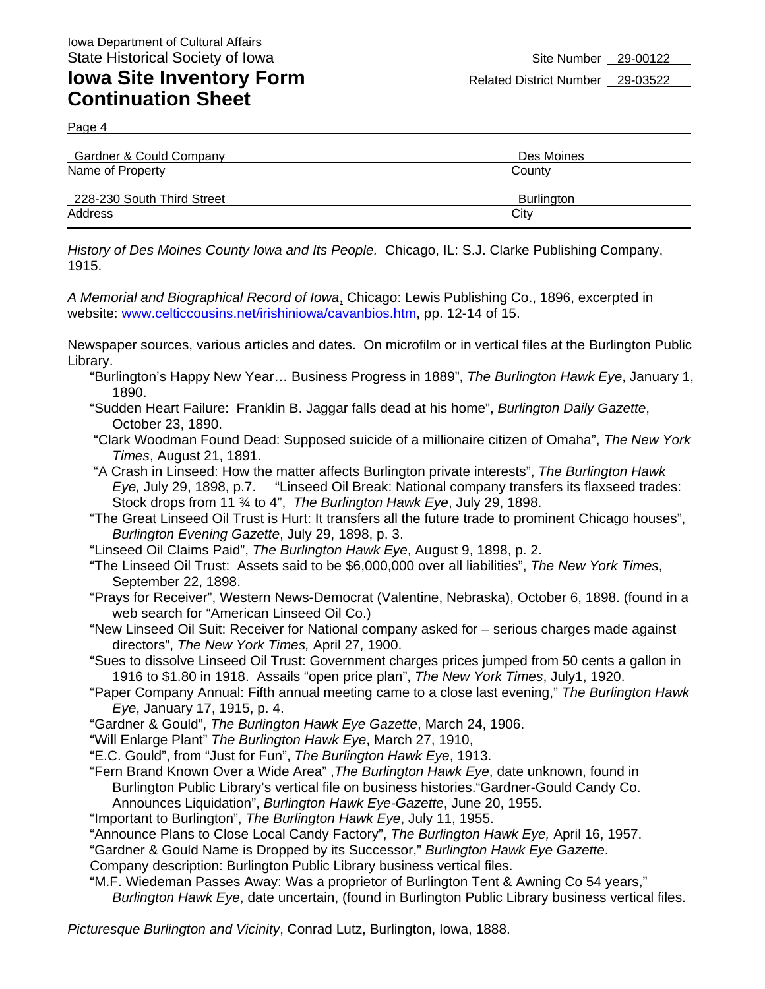Page 4

| Gardner & Could Company    | Des Moines |
|----------------------------|------------|
| Name of Property           | County     |
| 228-230 South Third Street | Burlington |
| Address                    | City       |

*History of Des Moines County Iowa and Its People.* Chicago, IL: S.J. Clarke Publishing Company, 1915.

*A Memorial and Biographical Record of Iowa*, Chicago: Lewis Publishing Co., 1896, excerpted in website: www.celticcousins.net/irishiniowa/cavanbios.htm, pp. 12-14 of 15.

Newspaper sources, various articles and dates. On microfilm or in vertical files at the Burlington Public Library.

- "Burlington's Happy New Year… Business Progress in 1889", *The Burlington Hawk Eye*, January 1, 1890.
- "Sudden Heart Failure: Franklin B. Jaggar falls dead at his home", *Burlington Daily Gazette*, October 23, 1890.
- "Clark Woodman Found Dead: Supposed suicide of a millionaire citizen of Omaha", *The New York Times*, August 21, 1891.
- "A Crash in Linseed: How the matter affects Burlington private interests", *The Burlington Hawk Eye,* July 29, 1898, p.7. "Linseed Oil Break: National company transfers its flaxseed trades: Stock drops from 11 ¾ to 4", *The Burlington Hawk Eye*, July 29, 1898.

"The Great Linseed Oil Trust is Hurt: It transfers all the future trade to prominent Chicago houses", *Burlington Evening Gazette*, July 29, 1898, p. 3.

- "Linseed Oil Claims Paid", *The Burlington Hawk Eye*, August 9, 1898, p. 2.
- "The Linseed Oil Trust: Assets said to be \$6,000,000 over all liabilities", *The New York Times*, September 22, 1898.
- "Prays for Receiver", Western News-Democrat (Valentine, Nebraska), October 6, 1898. (found in a web search for "American Linseed Oil Co.)

"New Linseed Oil Suit: Receiver for National company asked for – serious charges made against directors", *The New York Times,* April 27, 1900.

- "Sues to dissolve Linseed Oil Trust: Government charges prices jumped from 50 cents a gallon in 1916 to \$1.80 in 1918. Assails "open price plan", *The New York Times*, July1, 1920.
- "Paper Company Annual: Fifth annual meeting came to a close last evening," *The Burlington Hawk Eye*, January 17, 1915, p. 4.
- "Gardner & Gould", *The Burlington Hawk Eye Gazette*, March 24, 1906.

"Will Enlarge Plant" *The Burlington Hawk Eye*, March 27, 1910,

"E.C. Gould", from "Just for Fun", *The Burlington Hawk Eye*, 1913.

- "Fern Brand Known Over a Wide Area" ,*The Burlington Hawk Eye*, date unknown, found in Burlington Public Library's vertical file on business histories."Gardner-Gould Candy Co. Announces Liquidation", *Burlington Hawk Eye-Gazette*, June 20, 1955.
- "Important to Burlington", *The Burlington Hawk Eye*, July 11, 1955.

"Announce Plans to Close Local Candy Factory", *The Burlington Hawk Eye,* April 16, 1957.

"Gardner & Gould Name is Dropped by its Successor," *Burlington Hawk Eye Gazette*.

Company description: Burlington Public Library business vertical files.

"M.F. Wiedeman Passes Away: Was a proprietor of Burlington Tent & Awning Co 54 years," *Burlington Hawk Eye*, date uncertain, (found in Burlington Public Library business vertical files.

*Picturesque Burlington and Vicinity*, Conrad Lutz, Burlington, Iowa, 1888.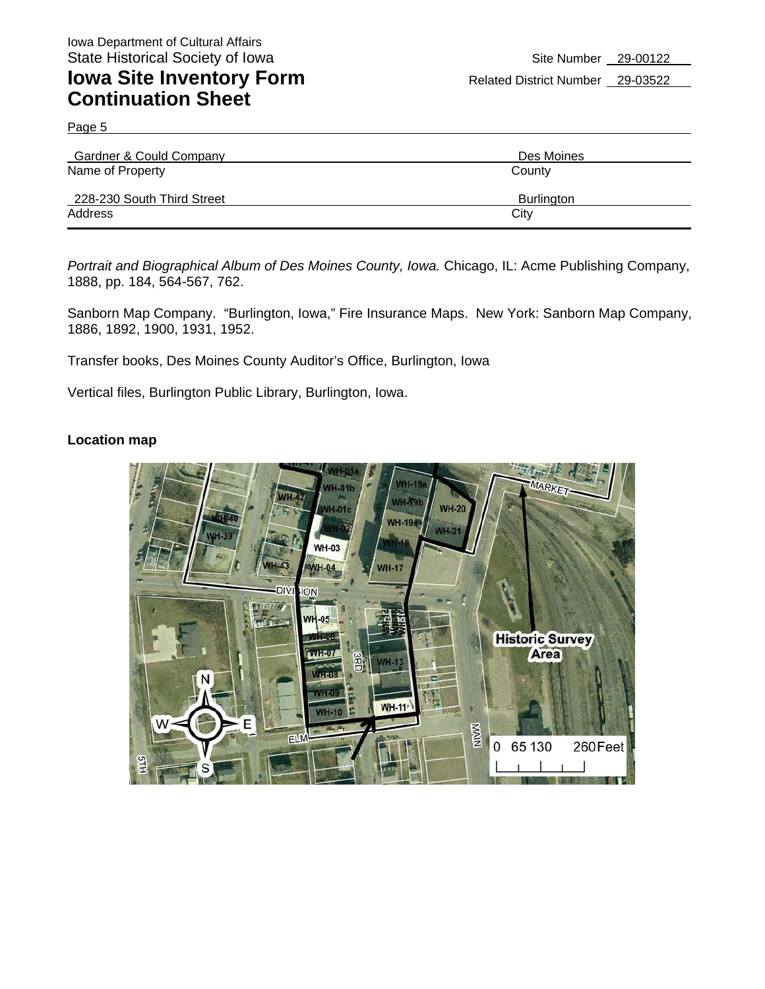Page 5

| Gardner & Could Company    | Des Moines |
|----------------------------|------------|
| Name of Property           | County     |
| 228-230 South Third Street | Burlington |
| Address                    | City       |

Portrait and Biographical Album of Des Moines County, Iowa. Chicago, IL: Acme Publishing Company, 1888, pp. 184, 564-567, 762.

Sanborn Map Company. "Burlington, Iowa," Fire Insurance Maps. New York: Sanborn Map Company, 1886, 1892, 1900, 1931, 1952.

Transfer books, Des Moines County Auditor's Office, Burlington, Iowa

Vertical files, Burlington Public Library, Burlington, Iowa.

#### **Location map**

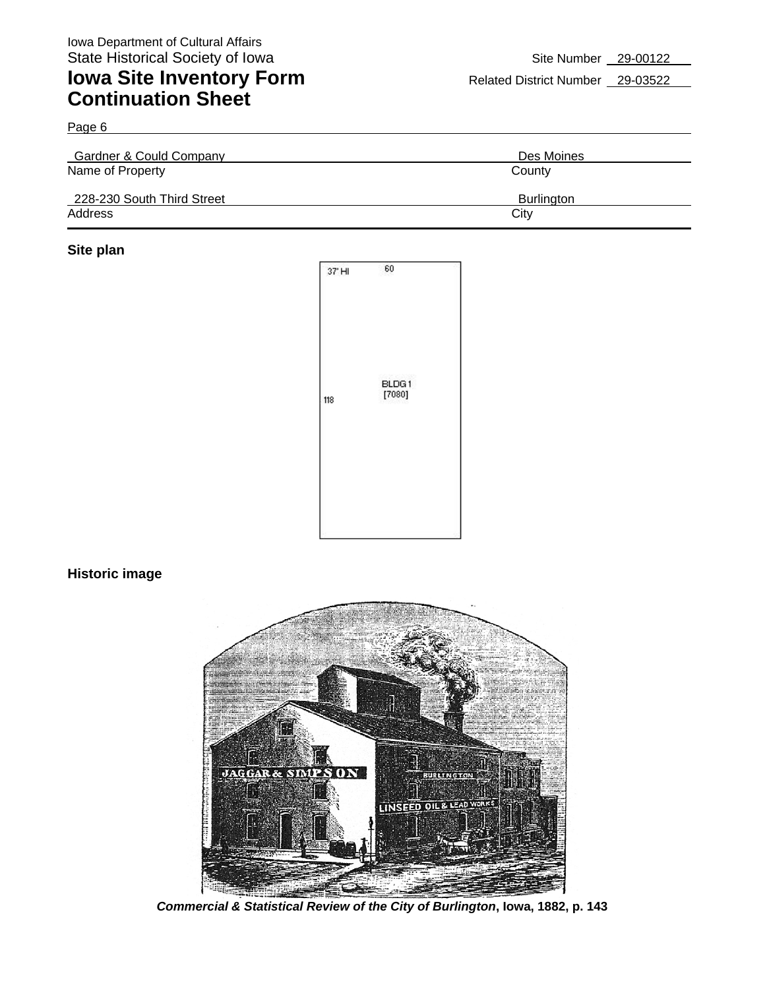| Gardner & Could Company    | Des Moines        |
|----------------------------|-------------------|
| Name of Property           | County            |
| 228-230 South Third Street | <b>Burlington</b> |
| Address                    | City              |

#### **Site plan**



#### **Historic image**



*Commercial & Statistical Review of the City of Burlington***, Iowa, 1882, p. 143**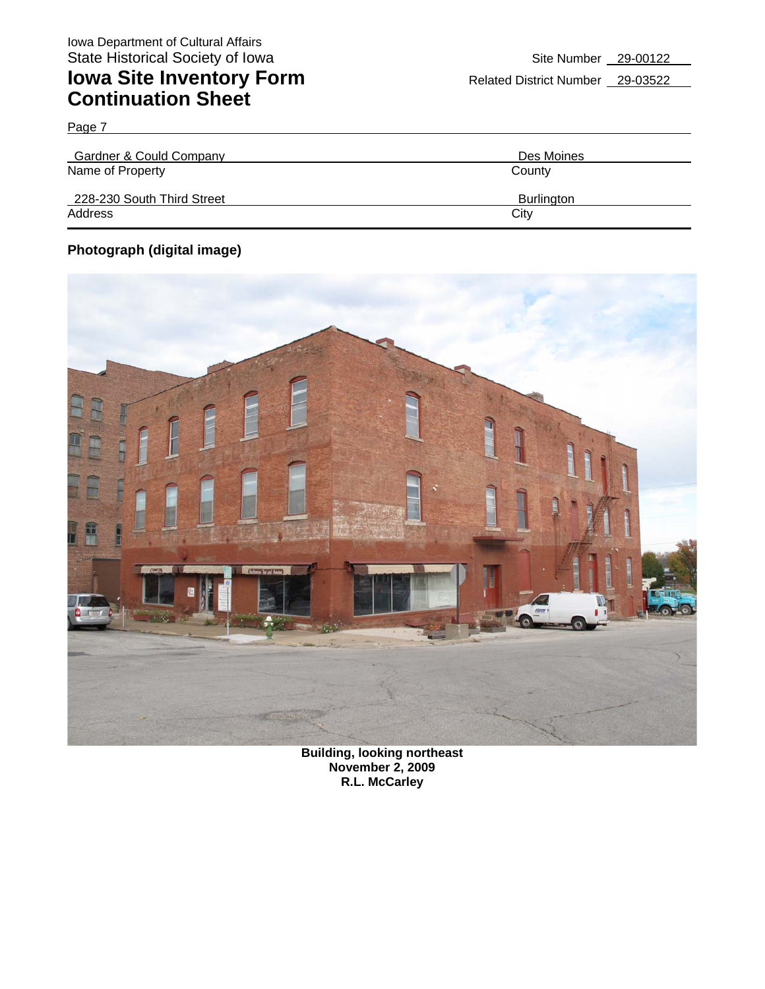Page 7

| <b>Gardner &amp; Could Company</b> | Des Moines |
|------------------------------------|------------|
| Name of Property                   | County     |
| 228-230 South Third Street         | Burlington |
| Address                            | City       |

#### **Photograph (digital image)**



**Building, looking northeast November 2, 2009 R.L. McCarley**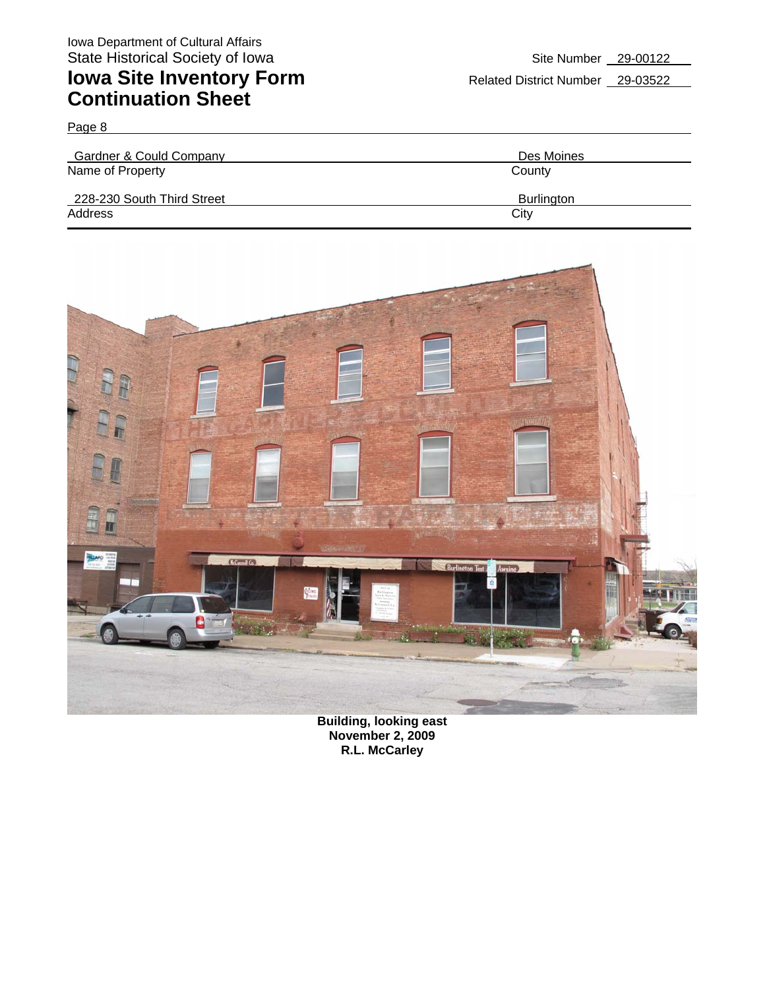Page 8

Gardner & Could Company **Des Moines** Name of Property County 228-230 South Third Street Burlington Burlington Address City **City Address** 



**Building, looking east November 2, 2009 R.L. McCarley**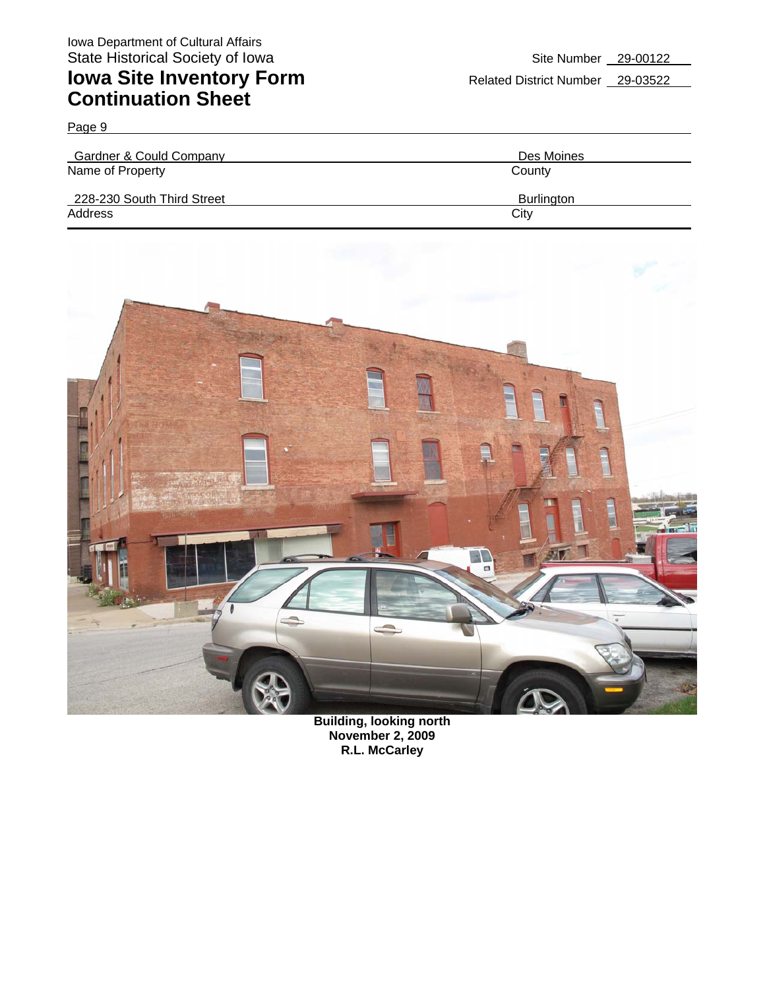Page 9

| Gardner & Could Company    | Des Moines        |
|----------------------------|-------------------|
| Name of Property           | County            |
| 228-230 South Third Street | <b>Burlington</b> |
| Address                    | City              |



**Building, looking north November 2, 2009 R.L. McCarley**